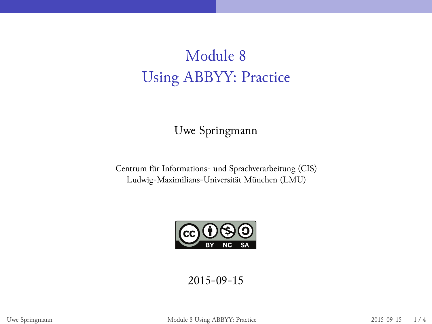## Module 8 Using ABBYY: Practice

Uwe Springmann

Centrum für Informations- und Sprachverarbeitung (CIS) Ludwig-Maximilians-Universität München (LMU)



2015-09-15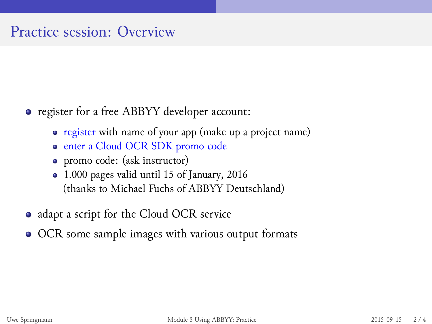## Practice session: Overview

- register for a free ABBYY developer account:
	- register with name of your app (make up a project name)
	- enter a Cloud OCR SDK promo code
	- promo code: (ask instructor)
	- ⒈000 pages valid until 15 of January, 2016 (thanks to Michael Fuchs of ABBYY Deutschland)
- adapt a script for the Cloud OCR service
- OCR some sample images with various output formats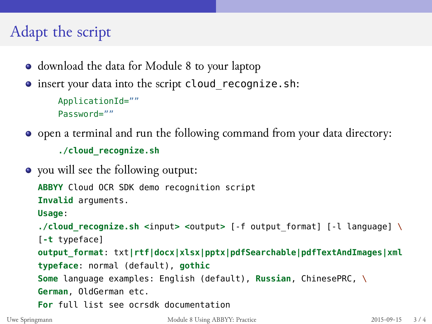## Adapt the script

- download the data for Module 8 to your laptop
- insert your data into the script cloud\_recognize.sh: ApplicationId=""
	- Password=""
- open a terminal and run the following command from your data directory:

**./cloud\_recognize.sh**

you will see the following output:

```
ABBYY Cloud OCR SDK demo recognition script
Invalid arguments.
Usage:
./cloud_recognize.sh <input> <output> [-f output_format] [-l language] \
[-t typeface]
output_format: txt|rtf|docx|xlsx|pptx|pdfSearchable|pdfTextAndImages|xml
typeface: normal (default), gothic
Some language examples: English (default), Russian, ChinesePRC, \
German, OldGerman etc.
For full list see ocrsdk documentation
```